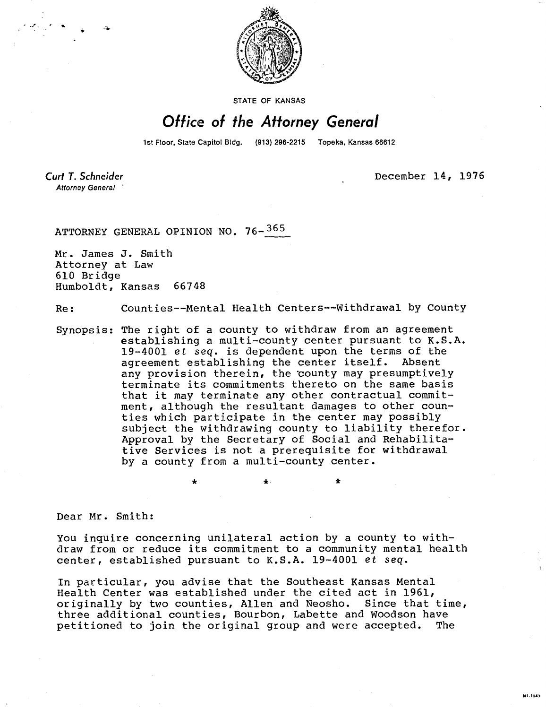

STATE OF KANSAS

## Office of the Attorney General

1st Floor, State Capitol Bldg. (913) 296-2215 Topeka, Kansas 66612

**Curt T. Schneider** Attorney General

December 14, 1976

MI-1043

ATTORNEY GENERAL OPINION NO. 76-365

\*

Mr. James J. Smith Attorney at Law 610 Bridge Humboldt, Kansas 66748

Re: Counties--Mental Health Centers--Withdrawal by County

Synopsis: The right of a county to withdraw from an agreement establishing a multi-county center pursuant to K.S.A. 19-4001 et seq. is dependent upon the terms of the agreement establishing the center itself. Absent any provision therein, the 'county may presumptively terminate its commitments thereto on the same basis that it may terminate any other contractual commitment, although the resultant damages to other counties which participate in the center may possibly subject the withdrawing county to liability therefor. Approval by the Secretary of Social and Rehabilitative Services is not a prerequisite for withdrawal by a county from a multi-county center.

Dear Mr. Smith:

You inquire concerning unilateral action by a county to withdraw from or reduce its commitment to a community mental health center, established pursuant to K.S.A. 19-4001 et seq.

In particular, you advise that the Southeast Kansas Mental Health Center was established under the cited act in 1961, originally by two counties, Allen and Neosho. Since that time, three additional counties, Bourbon, Labette and Woodson have petitioned to join the original group and were accepted. The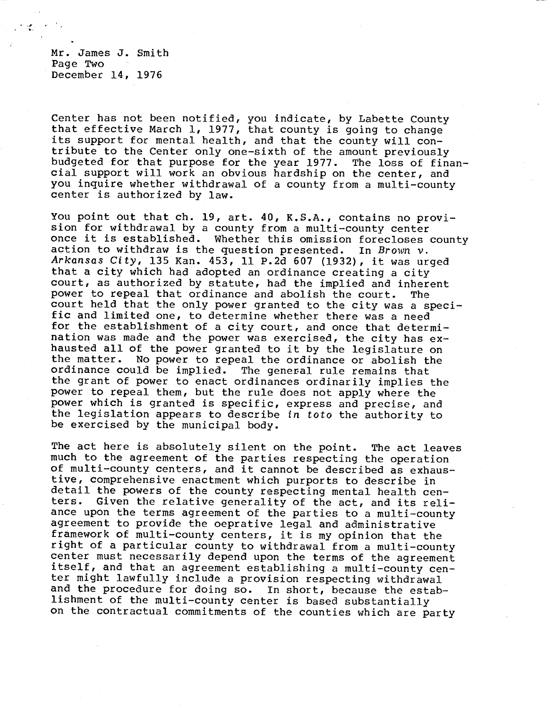Mr. James J. Smith Page Two December 14, 1976

Center has not been notified, you indicate, by Labette County that effective March 1, 1977, that county is going to change its support for mental health, and that the county will contribute to the Center only one-sixth of the amount previously budgeted for that purpose for the year 1977. The loss of financial support will work an obvious hardship on the center, and you inquire whether withdrawal of a county from a multi-county center is authorized by law.

You point out that ch. 19, art. 40, K.S.A., contains no provision for withdrawal by a county from a multi-county center once it is established. Whether this omission forecloses county action to withdraw is the question presented. In Brown  $v$ . Arkansas City, 135 Kan. 453, 11 P.2d 607 (1932), it was urged that a city which had adopted an ordinance creating a city court, as authorized by statute, had the implied and inherent power to repeal that ordinance and abolish the court. The court held that the only power granted to the city was a specific and limited one, to determine whether there was a need for the establishment of a city court, and once that determination was made and the power was exercised, the city has exhausted all of the power granted to it by the legislature on<br>the matter. No power to repeal the ordinance or abolish the No power to repeal the ordinance or abolish the ordinance could be implied. The general rule remains that the grant of power to enact ordinances ordinarily implies the power to repeal them, but the rule does not apply where the power which is granted is specific, express and precise, and the legislation appears to describe in toto the authority to be exercised by the municipal body.

The act here is absolutely silent on the point. The act leaves much to the agreement of the parties respecting the operation of multi-county centers, and it cannot be described as exhaustive, comprehensive enactment which purports to describe in detail the powers of the county respecting mental health centers. Given the relative generality of the act, and its reliance upon the terms agreement of the parties to a multi-county agreement to provide the oeprative legal and administrative framework of multi-county centers, it is my opinion that the right of a particular county to withdrawal from a multi-county center must necessarily depend upon the terms of the agreement itself, and that an agreement establishing a multi-county center might lawfully include a provision respecting withdrawal and the procedure for doing so. In short, because the establishment of the multi-county center is based substantially on the contractual commitments of the counties which are party